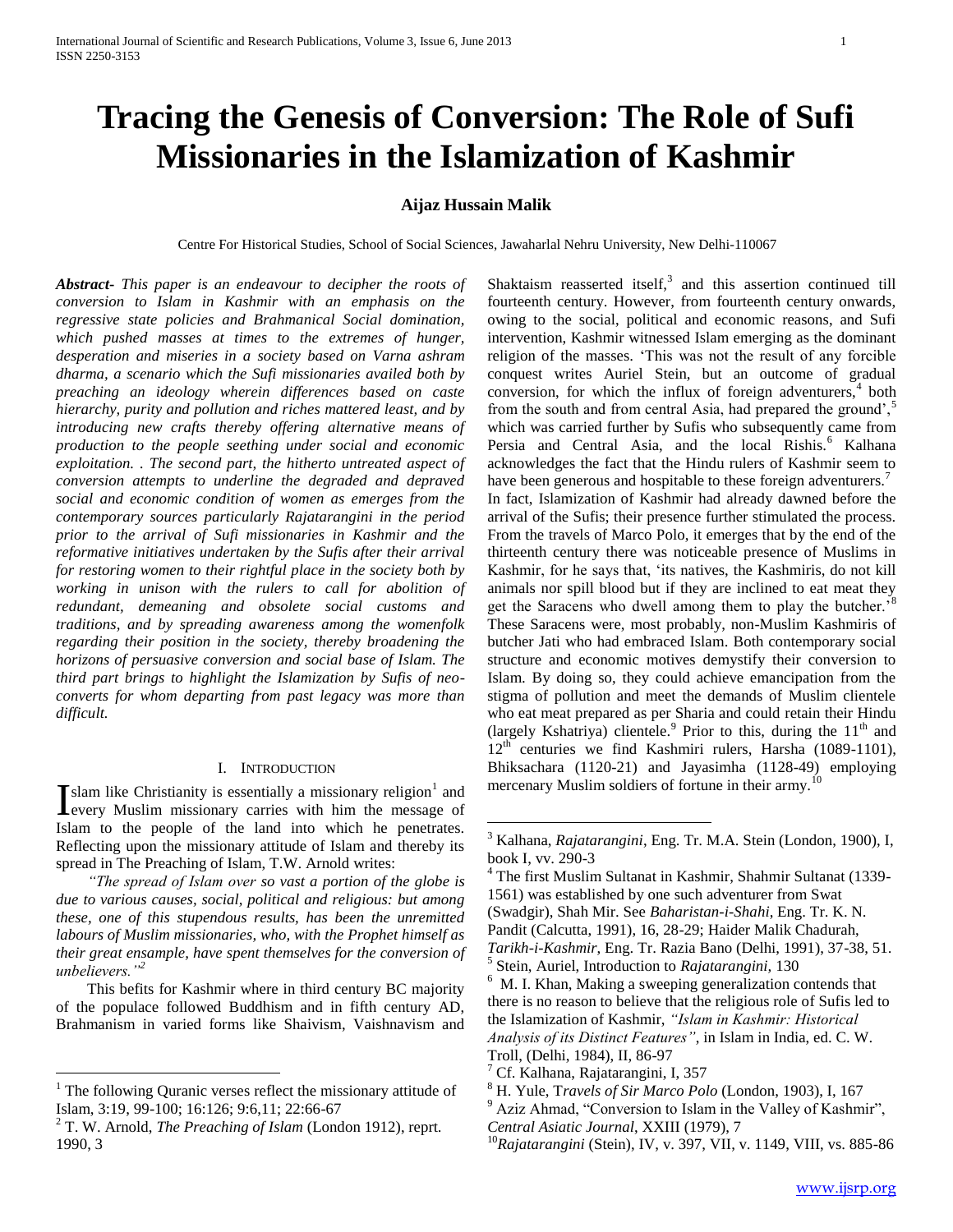# **Tracing the Genesis of Conversion: The Role of Sufi Missionaries in the Islamization of Kashmir**

# **Aijaz Hussain Malik**

Centre For Historical Studies, School of Social Sciences, Jawaharlal Nehru University, New Delhi-110067

 $\overline{a}$ 

*Abstract***-** *This paper is an endeavour to decipher the roots of conversion to Islam in Kashmir with an emphasis on the regressive state policies and Brahmanical Social domination, which pushed masses at times to the extremes of hunger, desperation and miseries in a society based on Varna ashram dharma, a scenario which the Sufi missionaries availed both by preaching an ideology wherein differences based on caste hierarchy, purity and pollution and riches mattered least, and by introducing new crafts thereby offering alternative means of production to the people seething under social and economic exploitation. . The second part, the hitherto untreated aspect of conversion attempts to underline the degraded and depraved social and economic condition of women as emerges from the contemporary sources particularly Rajatarangini in the period prior to the arrival of Sufi missionaries in Kashmir and the reformative initiatives undertaken by the Sufis after their arrival for restoring women to their rightful place in the society both by working in unison with the rulers to call for abolition of redundant, demeaning and obsolete social customs and traditions, and by spreading awareness among the womenfolk regarding their position in the society, thereby broadening the horizons of persuasive conversion and social base of Islam. The third part brings to highlight the Islamization by Sufis of neoconverts for whom departing from past legacy was more than difficult.*

# I. INTRODUCTION

slam like Christianity is essentially a missionary religion<sup>1</sup> and Islam like Christianity is essentially a missionary religion<sup>1</sup> and every Muslim missionary carries with him the message of Islam to the people of the land into which he penetrates. Reflecting upon the missionary attitude of Islam and thereby its spread in The Preaching of Islam, T.W. Arnold writes:

 *"The spread of Islam over so vast a portion of the globe is due to various causes, social, political and religious: but among these, one of this stupendous results, has been the unremitted labours of Muslim missionaries, who, with the Prophet himself as their great ensample, have spent themselves for the conversion of unbelievers."<sup>2</sup>*

 This befits for Kashmir where in third century BC majority of the populace followed Buddhism and in fifth century AD, Brahmanism in varied forms like Shaivism, Vaishnavism and

 $\overline{a}$ 

Shaktaism reasserted itself, $3$  and this assertion continued till fourteenth century. However, from fourteenth century onwards, owing to the social, political and economic reasons, and Sufi intervention, Kashmir witnessed Islam emerging as the dominant religion of the masses. 'This was not the result of any forcible conquest writes Auriel Stein, but an outcome of gradual conversion, for which the influx of foreign adventurers, $4$  both from the south and from central Asia, had prepared the ground', $\frac{5}{3}$ which was carried further by Sufis who subsequently came from Persia and Central Asia, and the local Rishis.<sup>6</sup> Kalhana acknowledges the fact that the Hindu rulers of Kashmir seem to have been generous and hospitable to these foreign adventurers.<sup>7</sup> In fact, Islamization of Kashmir had already dawned before the arrival of the Sufis; their presence further stimulated the process. From the travels of Marco Polo, it emerges that by the end of the thirteenth century there was noticeable presence of Muslims in Kashmir, for he says that, 'its natives, the Kashmiris, do not kill animals nor spill blood but if they are inclined to eat meat they get the Saracens who dwell among them to play the butcher.' These Saracens were, most probably, non-Muslim Kashmiris of butcher Jati who had embraced Islam. Both contemporary social structure and economic motives demystify their conversion to Islam. By doing so, they could achieve emancipation from the stigma of pollution and meet the demands of Muslim clientele who eat meat prepared as per Sharia and could retain their Hindu (largely Kshatriya) clientele.<sup>9</sup> Prior to this, during the  $11<sup>th</sup>$  and 12<sup>th</sup> centuries we find Kashmiri rulers, Harsha (1089-1101), Bhiksachara (1120-21) and Jayasimha (1128-49) employing mercenary Muslim soldiers of fortune in their army.<sup>10</sup>

 $1$  The following Quranic verses reflect the missionary attitude of Islam, 3:19, 99-100; 16:126; 9:6,11; 22:66-67

<sup>2</sup> T. W. Arnold, *The Preaching of Islam* (London 1912), reprt. 1990, 3

<sup>3</sup> Kalhana, *Rajatarangini*, Eng. Tr. M.A. Stein (London, 1900), I, book I, vv. 290-3

<sup>4</sup> The first Muslim Sultanat in Kashmir, Shahmir Sultanat (1339- 1561) was established by one such adventurer from Swat (Swadgir), Shah Mir. See *Baharistan-i-Shahi*, Eng. Tr. K. N. Pandit (Calcutta, 1991), 16, 28-29; Haider Malik Chadurah, *Tarikh-i-Kashmir*, Eng. Tr. Razia Bano (Delhi, 1991), 37-38, 51. 5 Stein, Auriel, Introduction to *Rajatarangini,* 130

<sup>&</sup>lt;sup>6</sup> M. I. Khan, Making a sweeping generalization contends that there is no reason to believe that the religious role of Sufis led to the Islamization of Kashmir, *"Islam in Kashmir: Historical Analysis of its Distinct Features"*, in Islam in India, ed. C. W. Troll, (Delhi, 1984), II, 86-97

 $<sup>7</sup>$  Cf. Kalhana, Rajatarangini, I, 357</sup>

<sup>8</sup> H. Yule, T*ravels of Sir Marco Polo* (London, 1903), I, 167

<sup>&</sup>lt;sup>9</sup> Aziz Ahmad, "Conversion to Islam in the Valley of Kashmir",

*Central Asiatic Journal*, XXIII (1979), 7

<sup>10</sup>*Rajatarangini* (Stein), IV, v. 397, VII, v. 1149, VIII, vs. 885-86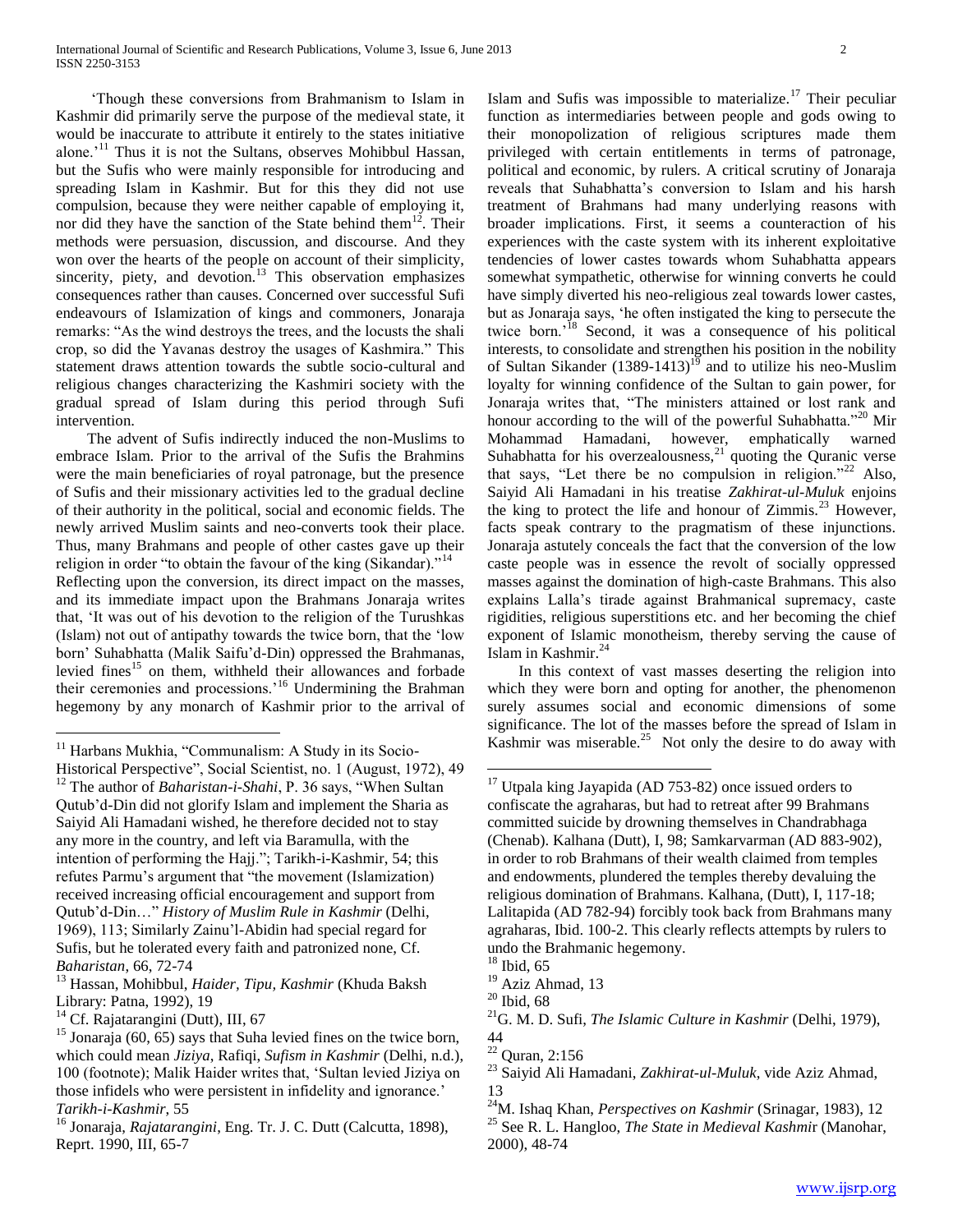'Though these conversions from Brahmanism to Islam in Kashmir did primarily serve the purpose of the medieval state, it would be inaccurate to attribute it entirely to the states initiative alone.'<sup>11</sup> Thus it is not the Sultans, observes Mohibbul Hassan, but the Sufis who were mainly responsible for introducing and spreading Islam in Kashmir. But for this they did not use compulsion, because they were neither capable of employing it, nor did they have the sanction of the State behind them<sup>12</sup>. Their methods were persuasion, discussion, and discourse. And they won over the hearts of the people on account of their simplicity, sincerity, piety, and devotion.<sup>13</sup> This observation emphasizes consequences rather than causes. Concerned over successful Sufi endeavours of Islamization of kings and commoners, Jonaraja remarks: "As the wind destroys the trees, and the locusts the shali crop, so did the Yavanas destroy the usages of Kashmira." This statement draws attention towards the subtle socio-cultural and religious changes characterizing the Kashmiri society with the gradual spread of Islam during this period through Sufi intervention.

 The advent of Sufis indirectly induced the non-Muslims to embrace Islam. Prior to the arrival of the Sufis the Brahmins were the main beneficiaries of royal patronage, but the presence of Sufis and their missionary activities led to the gradual decline of their authority in the political, social and economic fields. The newly arrived Muslim saints and neo-converts took their place. Thus, many Brahmans and people of other castes gave up their religion in order "to obtain the favour of the king (Sikandar)."<sup>14</sup> Reflecting upon the conversion, its direct impact on the masses, and its immediate impact upon the Brahmans Jonaraja writes that, 'It was out of his devotion to the religion of the Turushkas (Islam) not out of antipathy towards the twice born, that the 'low born' Suhabhatta (Malik Saifu'd-Din) oppressed the Brahmanas, levied fines<sup>15</sup> on them, withheld their allowances and forbade their ceremonies and processions.<sup>16</sup> Undermining the Brahman hegemony by any monarch of Kashmir prior to the arrival of

 $\overline{a}$ 

Islam and Sufis was impossible to materialize.<sup>17</sup> Their peculiar function as intermediaries between people and gods owing to their monopolization of religious scriptures made them privileged with certain entitlements in terms of patronage, political and economic, by rulers. A critical scrutiny of Jonaraja reveals that Suhabhatta's conversion to Islam and his harsh treatment of Brahmans had many underlying reasons with broader implications. First, it seems a counteraction of his experiences with the caste system with its inherent exploitative tendencies of lower castes towards whom Suhabhatta appears somewhat sympathetic, otherwise for winning converts he could have simply diverted his neo-religious zeal towards lower castes, but as Jonaraja says, 'he often instigated the king to persecute the twice born.'<sup>18</sup> Second, it was a consequence of his political interests, to consolidate and strengthen his position in the nobility of Sultan Sikander  $(1389-1413)^{19}$  and to utilize his neo-Muslim loyalty for winning confidence of the Sultan to gain power, for Jonaraja writes that, "The ministers attained or lost rank and honour according to the will of the powerful Suhabhatta."<sup>20</sup> Mir Mohammad Hamadani, however, emphatically warned Suhabhatta for his overzealousness, $^{21}$  quoting the Quranic verse that says, "Let there be no compulsion in religion."<sup>22</sup> Also, Saiyid Ali Hamadani in his treatise *Zakhirat-ul-Muluk* enjoins the king to protect the life and honour of Zimmis.<sup>23</sup> However, facts speak contrary to the pragmatism of these injunctions. Jonaraja astutely conceals the fact that the conversion of the low caste people was in essence the revolt of socially oppressed masses against the domination of high-caste Brahmans. This also explains Lalla's tirade against Brahmanical supremacy, caste rigidities, religious superstitions etc. and her becoming the chief exponent of Islamic monotheism, thereby serving the cause of Islam in Kashmir.<sup>24</sup>

 In this context of vast masses deserting the religion into which they were born and opting for another, the phenomenon surely assumes social and economic dimensions of some significance. The lot of the masses before the spread of Islam in Kashmir was miserable.<sup>25</sup> Not only the desire to do away with

 $11$  Harbans Mukhia, "Communalism: A Study in its Socio-

Historical Perspective", Social Scientist, no. 1 (August, 1972), 49 <sup>12</sup> The author of *Baharistan-i-Shahi*, P. 36 says, "When Sultan Qutub'd-Din did not glorify Islam and implement the Sharia as Saiyid Ali Hamadani wished, he therefore decided not to stay any more in the country, and left via Baramulla, with the intention of performing the Hajj."; Tarikh-i-Kashmir, 54; this refutes Parmu's argument that "the movement (Islamization) received increasing official encouragement and support from Qutub'd-Din…" *History of Muslim Rule in Kashmir* (Delhi, 1969), 113; Similarly Zainu'l-Abidin had special regard for Sufis, but he tolerated every faith and patronized none, Cf. *Baharistan*, 66, 72-74

<sup>13</sup> Hassan, Mohibbul, *Haider, Tipu, Kashmir* (Khuda Baksh Library: Patna, 1992), 19

<sup>&</sup>lt;sup>14</sup> Cf. Rajatarangini (Dutt), III, 67

 $15$  Jonaraja (60, 65) says that Suha levied fines on the twice born, which could mean *Jiziya*, Rafiqi, *Sufism in Kashmir* (Delhi, n.d.), 100 (footnote); Malik Haider writes that, 'Sultan levied Jiziya on those infidels who were persistent in infidelity and ignorance.' *Tarikh-i-Kashmir*, 55

<sup>16</sup> Jonaraja, *Rajatarangini*, Eng. Tr. J. C. Dutt (Calcutta, 1898), Reprt. 1990, III, 65-7

 $17$  Utpala king Jayapida (AD 753-82) once issued orders to confiscate the agraharas, but had to retreat after 99 Brahmans committed suicide by drowning themselves in Chandrabhaga (Chenab). Kalhana (Dutt), I, 98; Samkarvarman (AD 883-902), in order to rob Brahmans of their wealth claimed from temples and endowments, plundered the temples thereby devaluing the religious domination of Brahmans. Kalhana, (Dutt), I, 117-18; Lalitapida (AD 782-94) forcibly took back from Brahmans many agraharas, Ibid. 100-2. This clearly reflects attempts by rulers to undo the Brahmanic hegemony.

 $18$  Ibid, 65

<sup>&</sup>lt;sup>19</sup> Aziz Ahmad, 13

 $20$  Ibid, 68

<sup>21</sup>G. M. D. Sufi, *The Islamic Culture in Kashmir* (Delhi, 1979), 44

 $22$  Quran, 2:156

<sup>23</sup> Saiyid Ali Hamadani, *Zakhirat-ul-Muluk*, vide Aziz Ahmad, 13

<sup>24</sup>M. Ishaq Khan, *Perspectives on Kashmir* (Srinagar, 1983), 12 <sup>25</sup> See R. L. Hangloo, *The State in Medieval Kashmi*r (Manohar, 2000), 48-74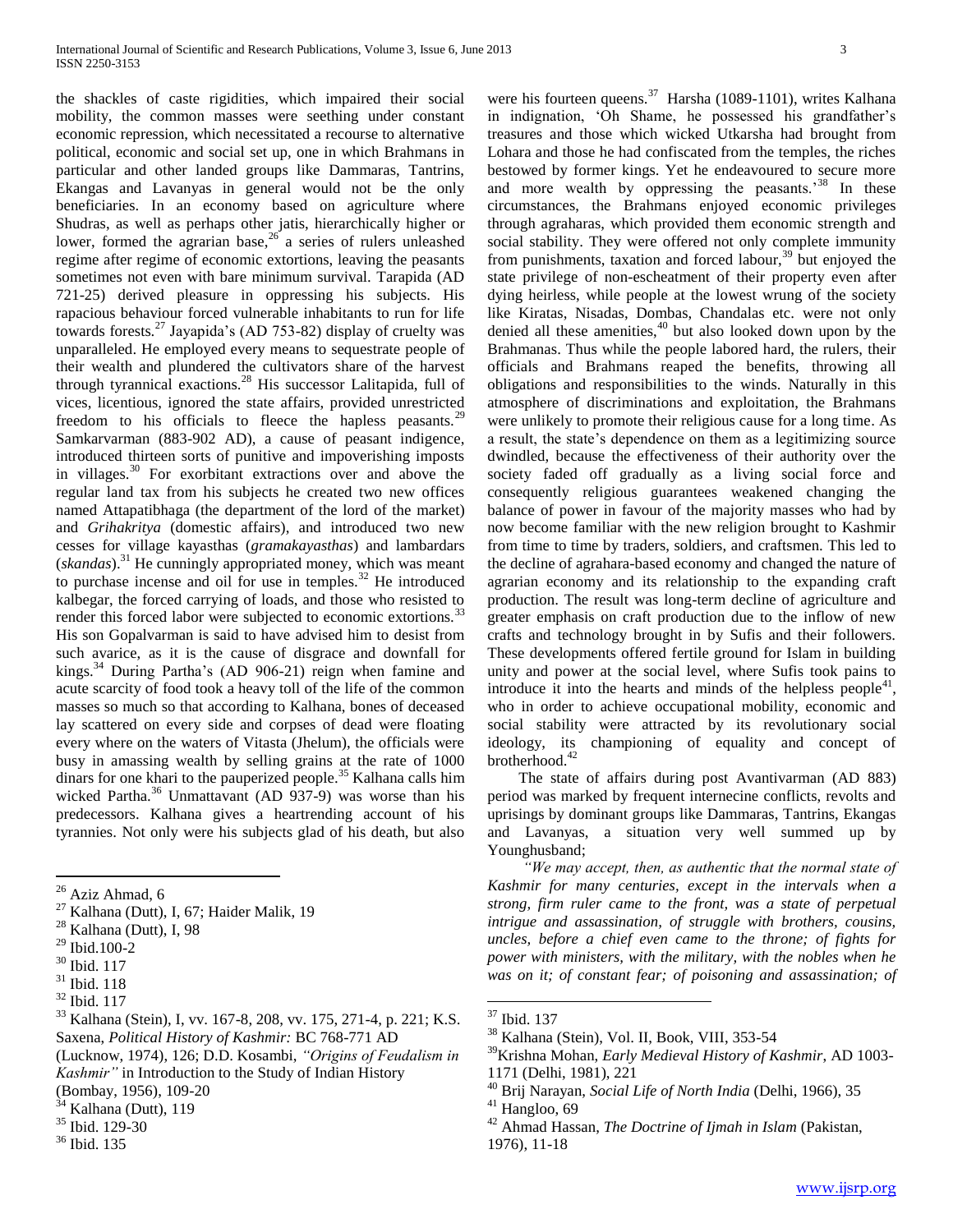the shackles of caste rigidities, which impaired their social mobility, the common masses were seething under constant economic repression, which necessitated a recourse to alternative political, economic and social set up, one in which Brahmans in particular and other landed groups like Dammaras, Tantrins, Ekangas and Lavanyas in general would not be the only beneficiaries. In an economy based on agriculture where Shudras, as well as perhaps other jatis, hierarchically higher or lower, formed the agrarian base,  $26$  a series of rulers unleashed regime after regime of economic extortions, leaving the peasants sometimes not even with bare minimum survival. Tarapida (AD 721-25) derived pleasure in oppressing his subjects. His rapacious behaviour forced vulnerable inhabitants to run for life towards forests.<sup>27</sup> Jayapida's (AD 753-82) display of cruelty was unparalleled. He employed every means to sequestrate people of their wealth and plundered the cultivators share of the harvest through tyrannical exactions.<sup>28</sup> His successor Lalitapida, full of vices, licentious, ignored the state affairs, provided unrestricted freedom to his officials to fleece the hapless peasants.<sup>29</sup> Samkarvarman (883-902 AD), a cause of peasant indigence, introduced thirteen sorts of punitive and impoverishing imposts in villages.<sup>30</sup> For exorbitant extractions over and above the regular land tax from his subjects he created two new offices named Attapatibhaga (the department of the lord of the market) and *Grihakritya* (domestic affairs), and introduced two new cesses for village kayasthas (*gramakayasthas*) and lambardars (*skandas*).<sup>31</sup> He cunningly appropriated money, which was meant to purchase incense and oil for use in temples. $32$  He introduced kalbegar, the forced carrying of loads, and those who resisted to render this forced labor were subjected to economic extortions.<sup>3</sup> His son Gopalvarman is said to have advised him to desist from such avarice, as it is the cause of disgrace and downfall for kings.<sup>34</sup> During Partha's (AD 906-21) reign when famine and acute scarcity of food took a heavy toll of the life of the common masses so much so that according to Kalhana, bones of deceased lay scattered on every side and corpses of dead were floating every where on the waters of Vitasta (Jhelum), the officials were busy in amassing wealth by selling grains at the rate of 1000 dinars for one khari to the pauperized people.<sup>35</sup> Kalhana calls him wicked Partha.<sup>36</sup> Unmattavant (AD 937-9) was worse than his predecessors. Kalhana gives a heartrending account of his tyrannies. Not only were his subjects glad of his death, but also

 $27$  Kalhana (Dutt), I, 67; Haider Malik, 19

 $\overline{a}$ 

(Lucknow, 1974), 126; D.D. Kosambi, *"Origins of Feudalism in Kashmir"* in Introduction to the Study of Indian History

<sup>36</sup> Ibid. 135

were his fourteen queens.<sup>37</sup> Harsha (1089-1101), writes Kalhana in indignation, 'Oh Shame, he possessed his grandfather's treasures and those which wicked Utkarsha had brought from Lohara and those he had confiscated from the temples, the riches bestowed by former kings. Yet he endeavoured to secure more and more wealth by oppressing the peasants.<sup>38</sup> In these circumstances, the Brahmans enjoyed economic privileges through agraharas, which provided them economic strength and social stability. They were offered not only complete immunity from punishments, taxation and forced labour,  $39$  but enjoyed the state privilege of non-escheatment of their property even after dying heirless, while people at the lowest wrung of the society like Kiratas, Nisadas, Dombas, Chandalas etc. were not only denied all these amenities, $40$  but also looked down upon by the Brahmanas. Thus while the people labored hard, the rulers, their officials and Brahmans reaped the benefits, throwing all obligations and responsibilities to the winds. Naturally in this atmosphere of discriminations and exploitation, the Brahmans were unlikely to promote their religious cause for a long time. As a result, the state's dependence on them as a legitimizing source dwindled, because the effectiveness of their authority over the society faded off gradually as a living social force and consequently religious guarantees weakened changing the balance of power in favour of the majority masses who had by now become familiar with the new religion brought to Kashmir from time to time by traders, soldiers, and craftsmen. This led to the decline of agrahara-based economy and changed the nature of agrarian economy and its relationship to the expanding craft production. The result was long-term decline of agriculture and greater emphasis on craft production due to the inflow of new crafts and technology brought in by Sufis and their followers. These developments offered fertile ground for Islam in building unity and power at the social level, where Sufis took pains to introduce it into the hearts and minds of the helpless people<sup>41</sup>, who in order to achieve occupational mobility, economic and social stability were attracted by its revolutionary social ideology, its championing of equality and concept of brotherhood. $42$ 

 The state of affairs during post Avantivarman (AD 883) period was marked by frequent internecine conflicts, revolts and uprisings by dominant groups like Dammaras, Tantrins, Ekangas and Lavanyas, a situation very well summed up by Younghusband;

 *"We may accept, then, as authentic that the normal state of Kashmir for many centuries, except in the intervals when a strong, firm ruler came to the front, was a state of perpetual intrigue and assassination, of struggle with brothers, cousins, uncles, before a chief even came to the throne; of fights for power with ministers, with the military, with the nobles when he was on it; of constant fear; of poisoning and assassination; of* 

 $26$  Aziz Ahmad, 6

Kalhana (Dutt), I, 98

<sup>29</sup> Ibid.100-2

<sup>30</sup> Ibid. 117

<sup>31</sup> Ibid. 118

<sup>32</sup> Ibid. 117

<sup>33</sup> Kalhana (Stein), I, vv. 167-8, 208, vv. 175, 271-4, p. 221; K.S. Saxena, *Political History of Kashmir:* BC 768-771 AD

<sup>(</sup>Bombay, 1956), 109-20

Kalhana (Dutt), 119

<sup>35</sup> Ibid. 129-30

<sup>37</sup> Ibid. 137

<sup>38</sup> Kalhana (Stein), Vol. II, Book, VIII, 353-54

<sup>39</sup>Krishna Mohan, *Early Medieval History of Kashmir*, AD 1003- 1171 (Delhi, 1981), 221

<sup>40</sup> Brij Narayan, *Social Life of North India* (Delhi, 1966), 35

<sup>&</sup>lt;sup>41</sup> Hangloo, 69

<sup>42</sup> Ahmad Hassan, *The Doctrine of Ijmah in Islam* (Pakistan, 1976), 11-18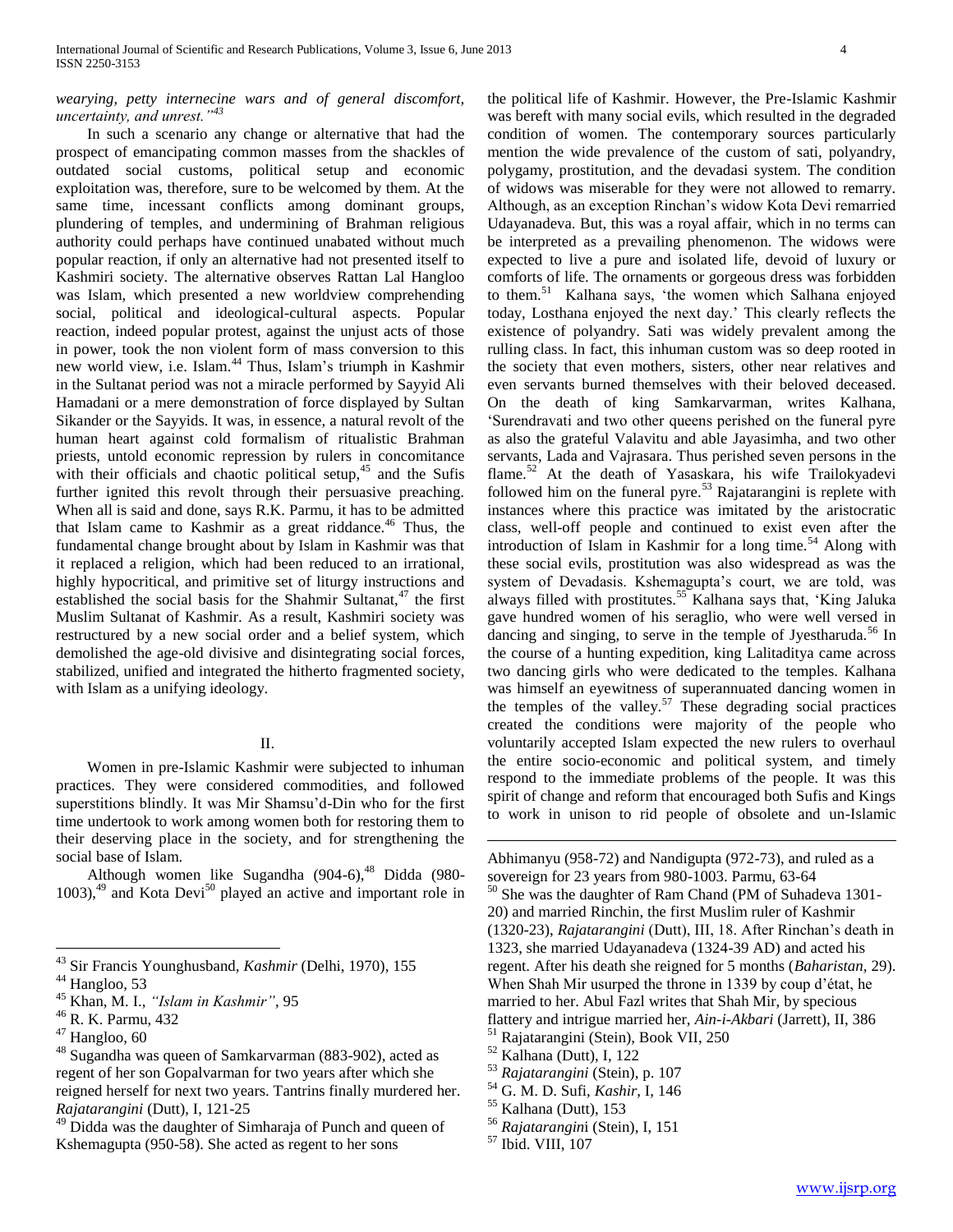## *wearying, petty internecine wars and of general discomfort, uncertainty, and unrest."<sup>43</sup>*

 In such a scenario any change or alternative that had the prospect of emancipating common masses from the shackles of outdated social customs, political setup and economic exploitation was, therefore, sure to be welcomed by them. At the same time, incessant conflicts among dominant groups, plundering of temples, and undermining of Brahman religious authority could perhaps have continued unabated without much popular reaction, if only an alternative had not presented itself to Kashmiri society. The alternative observes Rattan Lal Hangloo was Islam, which presented a new worldview comprehending social, political and ideological-cultural aspects. Popular reaction, indeed popular protest, against the unjust acts of those in power, took the non violent form of mass conversion to this new world view, i.e. Islam.<sup>44</sup> Thus, Islam's triumph in Kashmir in the Sultanat period was not a miracle performed by Sayyid Ali Hamadani or a mere demonstration of force displayed by Sultan Sikander or the Sayyids. It was, in essence, a natural revolt of the human heart against cold formalism of ritualistic Brahman priests, untold economic repression by rulers in concomitance with their officials and chaotic political setup, $45$  and the Sufis further ignited this revolt through their persuasive preaching. When all is said and done, says R.K. Parmu, it has to be admitted that Islam came to Kashmir as a great riddance.<sup>46</sup> Thus, the fundamental change brought about by Islam in Kashmir was that it replaced a religion, which had been reduced to an irrational, highly hypocritical, and primitive set of liturgy instructions and established the social basis for the Shahmir Sultanat,<sup>47</sup> the first Muslim Sultanat of Kashmir. As a result, Kashmiri society was restructured by a new social order and a belief system, which demolished the age-old divisive and disintegrating social forces, stabilized, unified and integrated the hitherto fragmented society, with Islam as a unifying ideology.

# II.

 Women in pre-Islamic Kashmir were subjected to inhuman practices. They were considered commodities, and followed superstitions blindly. It was Mir Shamsu'd-Din who for the first time undertook to work among women both for restoring them to their deserving place in the society, and for strengthening the social base of Islam.

Although women like Sugandha  $(904-6)$ ,<sup>48</sup> Didda (980- $1003$ ,<sup>49</sup> and Kota Devi<sup>50</sup> played an active and important role in

 $\overline{a}$ 

the political life of Kashmir. However, the Pre-Islamic Kashmir was bereft with many social evils, which resulted in the degraded condition of women. The contemporary sources particularly mention the wide prevalence of the custom of sati, polyandry, polygamy, prostitution, and the devadasi system. The condition of widows was miserable for they were not allowed to remarry. Although, as an exception Rinchan's widow Kota Devi remarried Udayanadeva. But, this was a royal affair, which in no terms can be interpreted as a prevailing phenomenon. The widows were expected to live a pure and isolated life, devoid of luxury or comforts of life. The ornaments or gorgeous dress was forbidden to them.<sup>51</sup> Kalhana says, 'the women which Salhana enjoyed today, Losthana enjoyed the next day.' This clearly reflects the existence of polyandry. Sati was widely prevalent among the rulling class. In fact, this inhuman custom was so deep rooted in the society that even mothers, sisters, other near relatives and even servants burned themselves with their beloved deceased. On the death of king Samkarvarman, writes Kalhana, 'Surendravati and two other queens perished on the funeral pyre as also the grateful Valavitu and able Jayasimha, and two other servants, Lada and Vajrasara. Thus perished seven persons in the flame.<sup>52</sup> At the death of Yasaskara, his wife Trailokyadevi followed him on the funeral pyre.<sup>53</sup> Rajatarangini is replete with instances where this practice was imitated by the aristocratic class, well-off people and continued to exist even after the introduction of Islam in Kashmir for a long time.<sup>54</sup> Along with these social evils, prostitution was also widespread as was the system of Devadasis. Kshemagupta's court, we are told, was always filled with prostitutes.<sup>55</sup> Kalhana says that, 'King Jaluka gave hundred women of his seraglio, who were well versed in dancing and singing, to serve in the temple of Jyestharuda.<sup>56</sup> In the course of a hunting expedition, king Lalitaditya came across two dancing girls who were dedicated to the temples. Kalhana was himself an eyewitness of superannuated dancing women in the temples of the valley. $57$  These degrading social practices created the conditions were majority of the people who voluntarily accepted Islam expected the new rulers to overhaul the entire socio-economic and political system, and timely respond to the immediate problems of the people. It was this spirit of change and reform that encouraged both Sufis and Kings to work in unison to rid people of obsolete and un-Islamic

Abhimanyu (958-72) and Nandigupta (972-73), and ruled as a sovereign for 23 years from 980-1003. Parmu, 63-64 <sup>50</sup> She was the daughter of Ram Chand (PM of Suhadeva 1301- 20) and married Rinchin, the first Muslim ruler of Kashmir (1320-23), *Rajatarangini* (Dutt), III, 18. After Rinchan's death in 1323, she married Udayanadeva (1324-39 AD) and acted his regent. After his death she reigned for 5 months (*Baharistan,* 29). When Shah Mir usurped the throne in 1339 by coup d'état, he married to her. Abul Fazl writes that Shah Mir, by specious flattery and intrigue married her, *Ain-i-Akbari* (Jarrett), II, 386

<sup>51</sup> Rajatarangini (Stein), Book VII, 250

- <sup>53</sup> *Rajatarangini* (Stein), p. 107
- <sup>54</sup> G. M. D. Sufi, *Kashir*, I, 146
- <sup>55</sup> Kalhana (Dutt), 153
- <sup>56</sup> *Rajatarangin*i (Stein), I, 151

<sup>43</sup> Sir Francis Younghusband, *Kashmir* (Delhi, 1970), 155

<sup>&</sup>lt;sup>44</sup> Hangloo, 53

<sup>45</sup> Khan, M. I., *"Islam in Kashmir"*, 95

<sup>46</sup> R. K. Parmu, 432

<sup>47</sup> Hangloo, 60

<sup>48</sup> Sugandha was queen of Samkarvarman (883-902), acted as regent of her son Gopalvarman for two years after which she reigned herself for next two years. Tantrins finally murdered her. *Rajatarangini* (Dutt), I, 121-25

 $49$  Didda was the daughter of Simharaja of Punch and queen of Kshemagupta (950-58). She acted as regent to her sons

<sup>52</sup> Kalhana (Dutt), I, 122

<sup>57</sup> Ibid. VIII, 107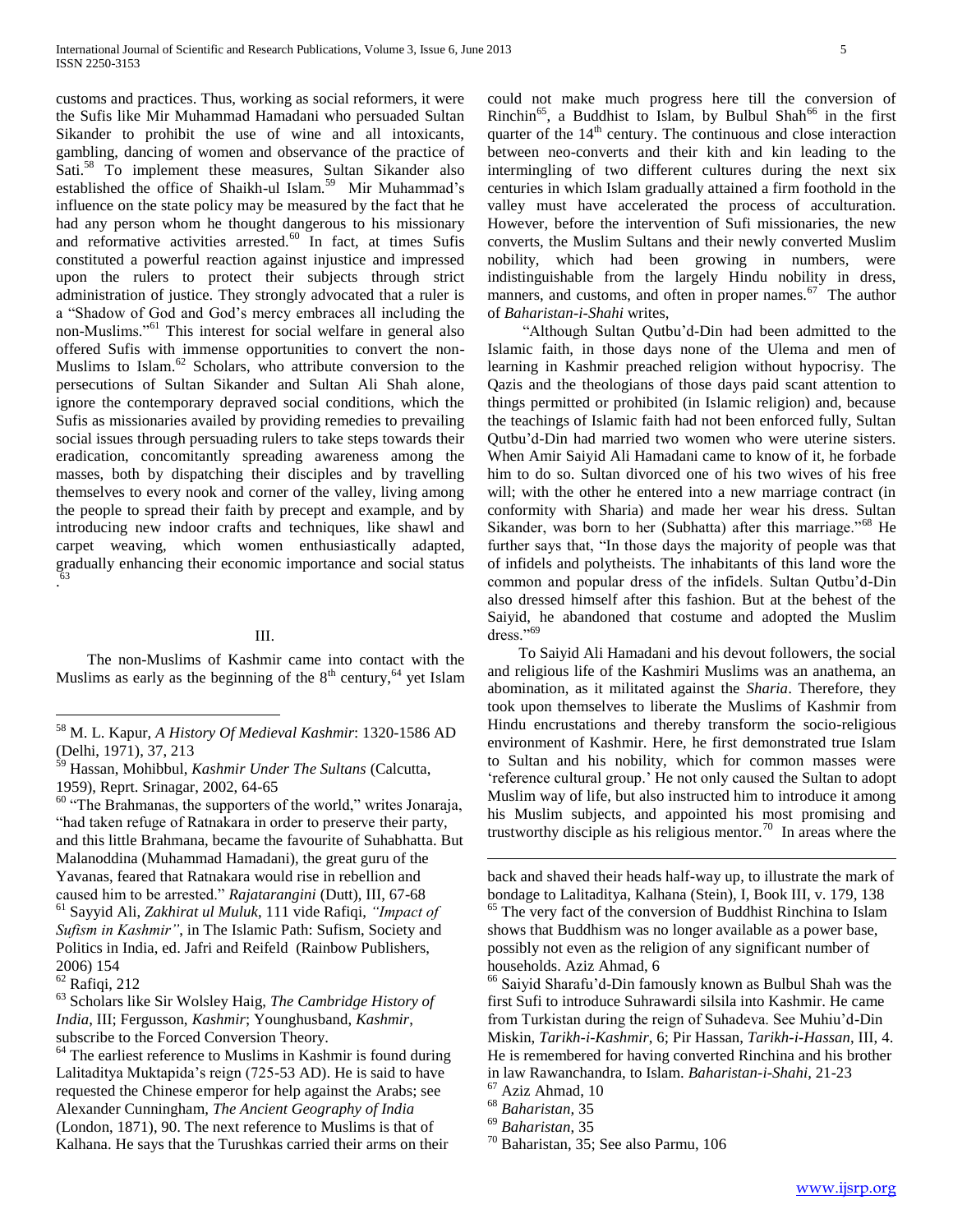customs and practices. Thus, working as social reformers, it were the Sufis like Mir Muhammad Hamadani who persuaded Sultan Sikander to prohibit the use of wine and all intoxicants, gambling, dancing of women and observance of the practice of Sati.<sup>58</sup> To implement these measures, Sultan Sikander also established the office of Shaikh-ul Islam.<sup>59</sup> Mir Muhammad's influence on the state policy may be measured by the fact that he had any person whom he thought dangerous to his missionary and reformative activities arrested. $60$  In fact, at times Sufis constituted a powerful reaction against injustice and impressed upon the rulers to protect their subjects through strict administration of justice. They strongly advocated that a ruler is a "Shadow of God and God's mercy embraces all including the non-Muslims."<sup>61</sup> This interest for social welfare in general also offered Sufis with immense opportunities to convert the non-Muslims to Islam. $62$  Scholars, who attribute conversion to the persecutions of Sultan Sikander and Sultan Ali Shah alone, ignore the contemporary depraved social conditions, which the Sufis as missionaries availed by providing remedies to prevailing social issues through persuading rulers to take steps towards their eradication, concomitantly spreading awareness among the masses, both by dispatching their disciples and by travelling themselves to every nook and corner of the valley, living among the people to spread their faith by precept and example, and by introducing new indoor crafts and techniques, like shawl and carpet weaving, which women enthusiastically adapted, gradually enhancing their economic importance and social status . 63

## III.

 The non-Muslims of Kashmir came into contact with the Muslims as early as the beginning of the  $8<sup>th</sup>$  century,<sup>64</sup> yet Islam

 $\overline{a}$ 

could not make much progress here till the conversion of Rinchin<sup>65</sup>, a Buddhist to Islam, by Bulbul Shah<sup>66</sup> in the first quarter of the  $14<sup>th</sup>$  century. The continuous and close interaction between neo-converts and their kith and kin leading to the intermingling of two different cultures during the next six centuries in which Islam gradually attained a firm foothold in the valley must have accelerated the process of acculturation. However, before the intervention of Sufi missionaries, the new converts, the Muslim Sultans and their newly converted Muslim nobility, which had been growing in numbers, were indistinguishable from the largely Hindu nobility in dress, manners, and customs, and often in proper names. $\frac{67}{ }$  The author of *Baharistan-i-Shahi* writes,

 "Although Sultan Qutbu'd-Din had been admitted to the Islamic faith, in those days none of the Ulema and men of learning in Kashmir preached religion without hypocrisy. The Qazis and the theologians of those days paid scant attention to things permitted or prohibited (in Islamic religion) and, because the teachings of Islamic faith had not been enforced fully, Sultan Qutbu'd-Din had married two women who were uterine sisters. When Amir Saiyid Ali Hamadani came to know of it, he forbade him to do so. Sultan divorced one of his two wives of his free will; with the other he entered into a new marriage contract (in conformity with Sharia) and made her wear his dress. Sultan Sikander, was born to her (Subhatta) after this marriage."<sup>68</sup> He further says that, "In those days the majority of people was that of infidels and polytheists. The inhabitants of this land wore the common and popular dress of the infidels. Sultan Qutbu'd-Din also dressed himself after this fashion. But at the behest of the Saiyid, he abandoned that costume and adopted the Muslim dress."<sup>69</sup>

 To Saiyid Ali Hamadani and his devout followers, the social and religious life of the Kashmiri Muslims was an anathema, an abomination, as it militated against the *Sharia*. Therefore, they took upon themselves to liberate the Muslims of Kashmir from Hindu encrustations and thereby transform the socio-religious environment of Kashmir. Here, he first demonstrated true Islam to Sultan and his nobility, which for common masses were 'reference cultural group.' He not only caused the Sultan to adopt Muslim way of life, but also instructed him to introduce it among his Muslim subjects, and appointed his most promising and trustworthy disciple as his religious mentor.<sup>70</sup> In areas where the

<sup>58</sup> M. L. Kapur, *A History Of Medieval Kashmir*: 1320-1586 AD (Delhi, 1971), 37, 213

<sup>59</sup> Hassan, Mohibbul, *Kashmir Under The Sultans* (Calcutta, 1959), Reprt. Srinagar, 2002, 64-65

<sup>&</sup>lt;sup>60</sup> "The Brahmanas, the supporters of the world," writes Jonaraja, "had taken refuge of Ratnakara in order to preserve their party, and this little Brahmana, became the favourite of Suhabhatta. But Malanoddina (Muhammad Hamadani), the great guru of the Yavanas, feared that Ratnakara would rise in rebellion and caused him to be arrested." *Rajatarangini* (Dutt), III, 67-68

<sup>61</sup> Sayyid Ali, *Zakhirat ul Muluk*, 111 vide Rafiqi, *"Impact of Sufism in Kashmir"*, in The Islamic Path: Sufism, Society and Politics in India, ed. Jafri and Reifeld (Rainbow Publishers, 2006) 154

<sup>62</sup> Rafiqi, 212

<sup>63</sup> Scholars like Sir Wolsley Haig, *The Cambridge History of India*, III; Fergusson, *Kashmir*; Younghusband, *Kashmir*, subscribe to the Forced Conversion Theory.

 $64$  The earliest reference to Muslims in Kashmir is found during Lalitaditya Muktapida's reign (725-53 AD). He is said to have requested the Chinese emperor for help against the Arabs; see Alexander Cunningham*, The Ancient Geography of India*  (London, 1871), 90. The next reference to Muslims is that of Kalhana. He says that the Turushkas carried their arms on their

back and shaved their heads half-way up, to illustrate the mark of bondage to Lalitaditya, Kalhana (Stein), I, Book III, v. 179, 138 <sup>65</sup> The very fact of the conversion of Buddhist Rinchina to Islam shows that Buddhism was no longer available as a power base, possibly not even as the religion of any significant number of households. Aziz Ahmad, 6

<sup>66</sup> Saiyid Sharafu'd-Din famously known as Bulbul Shah was the first Sufi to introduce Suhrawardi silsila into Kashmir. He came from Turkistan during the reign of Suhadeva. See Muhiu'd-Din Miskin, *Tarikh-i-Kashmir*, 6; Pir Hassan, *Tarikh-i-Hassan*, III, 4. He is remembered for having converted Rinchina and his brother in law Rawanchandra, to Islam. *Baharistan-i-Shahi*, 21-23

 $67$  Aziz Ahmad, 10

<sup>68</sup> *Baharistan,* 35

<sup>69</sup> *Baharistan*, 35

<sup>70</sup> Baharistan, 35; See also Parmu, 106